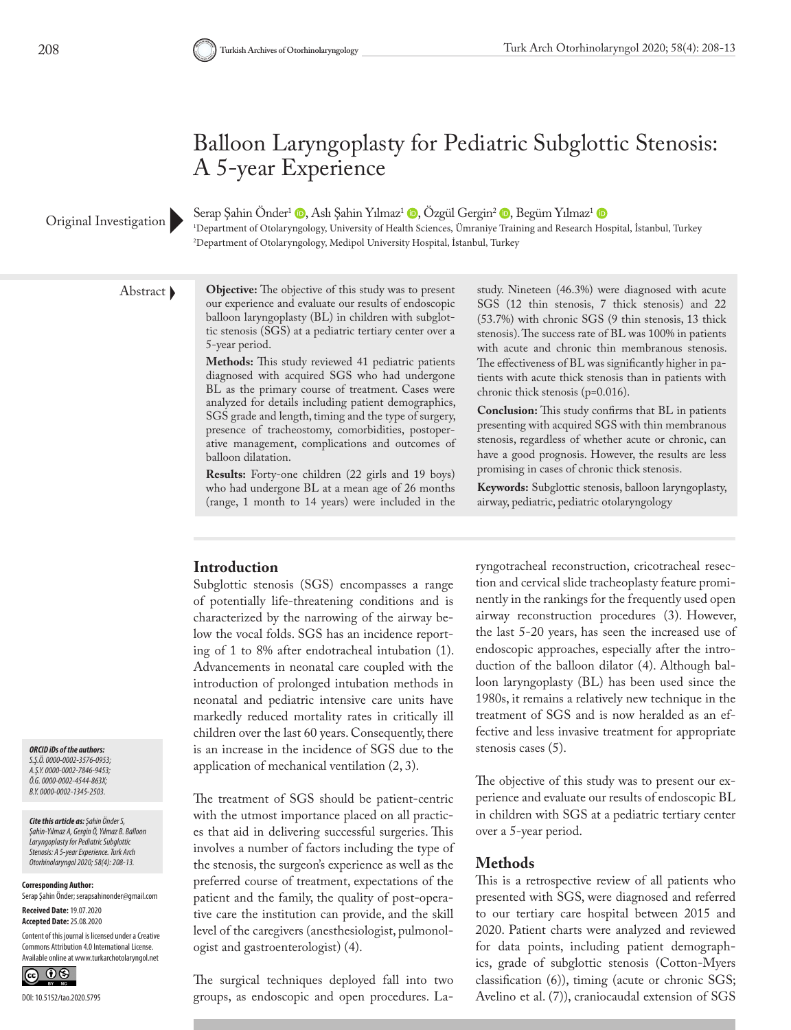## Balloon Laryngoplasty for Pediatric Subglottic Stenosis: A 5-year Experience

#### Original Investigation

Serap Şahin Önder<sup>1</sup> D[,](https://orcid.org/0000-0002-4544-863X) Aslı Şahin Yılmaz<sup>1</sup> D, Özgül Gergin<sup>2</sup> D, Begüm Yılmaz<sup>1</sup> D

1 Department of Otolaryngology, University of Health Sciences, Ümraniye Training and Research Hospital, İstanbul, Turkey 2 Department of Otolaryngology, Medipol University Hospital, İstanbul, Turkey

Abstract **Objective:** The objective of this study was to present our experience and evaluate our results of endoscopic balloon laryngoplasty (BL) in children with subglottic stenosis (SGS) at a pediatric tertiary center over a 5-year period.

> **Methods:** This study reviewed 41 pediatric patients diagnosed with acquired SGS who had undergone BL as the primary course of treatment. Cases were analyzed for details including patient demographics, SGS grade and length, timing and the type of surgery, presence of tracheostomy, comorbidities, postoperative management, complications and outcomes of balloon dilatation.

> **Results:** Forty-one children (22 girls and 19 boys) who had undergone BL at a mean age of 26 months (range, 1 month to 14 years) were included in the

study. Nineteen (46.3%) were diagnosed with acute SGS (12 thin stenosis, 7 thick stenosis) and 22 (53.7%) with chronic SGS (9 thin stenosis, 13 thick stenosis). The success rate of BL was 100% in patients with acute and chronic thin membranous stenosis. The effectiveness of BL was significantly higher in patients with acute thick stenosis than in patients with chronic thick stenosis (p=0.016).

**Conclusion:** This study confirms that BL in patients presenting with acquired SGS with thin membranous stenosis, regardless of whether acute or chronic, can have a good prognosis. However, the results are less promising in cases of chronic thick stenosis.

**Keywords:** Subglottic stenosis, balloon laryngoplasty, airway, pediatric, pediatric otolaryngology

#### **Introduction**

Subglottic stenosis (SGS) encompasses a range of potentially life-threatening conditions and is characterized by the narrowing of the airway below the vocal folds. SGS has an incidence reporting of 1 to 8% after endotracheal intubation (1). Advancements in neonatal care coupled with the introduction of prolonged intubation methods in neonatal and pediatric intensive care units have markedly reduced mortality rates in critically ill children over the last 60 years. Consequently, there is an increase in the incidence of SGS due to the application of mechanical ventilation (2, 3).

The treatment of SGS should be patient-centric with the utmost importance placed on all practices that aid in delivering successful surgeries. This involves a number of factors including the type of the stenosis, the surgeon's experience as well as the preferred course of treatment, expectations of the patient and the family, the quality of post-operative care the institution can provide, and the skill level of the caregivers (anesthesiologist, pulmonologist and gastroenterologist) (4).

The surgical techniques deployed fall into two groups, as endoscopic and open procedures. Laryngotracheal reconstruction, cricotracheal resection and cervical slide tracheoplasty feature prominently in the rankings for the frequently used open airway reconstruction procedures (3). However, the last 5-20 years, has seen the increased use of endoscopic approaches, especially after the introduction of the balloon dilator (4). Although balloon laryngoplasty (BL) has been used since the 1980s, it remains a relatively new technique in the treatment of SGS and is now heralded as an effective and less invasive treatment for appropriate stenosis cases (5).

The objective of this study was to present our experience and evaluate our results of endoscopic BL in children with SGS at a pediatric tertiary center over a 5-year period.

#### **Methods**

This is a retrospective review of all patients who presented with SGS, were diagnosed and referred to our tertiary care hospital between 2015 and 2020. Patient charts were analyzed and reviewed for data points, including patient demographics, grade of subglottic stenosis (Cotton-Myers classification (6)), timing (acute or chronic SGS; Avelino et al. (7)), craniocaudal extension of SGS

*ORCID iDs of the authors: S.Ş.Ö. 0000-0002-3576-0953; A.Ş.Y. 0000-0002-7846-9453; Ö.G. 0000-0002-4544-863X; B.Y. 0000-0002-1345-2503.*

*Cite this article as: Şahin Önder S, Şahin-Yılmaz A, Gergin Ö, Yılmaz B. Balloon Laryngoplasty for Pediatric Subglottic Stenosis: A 5-year Experience. Turk Arch Otorhinolaryngol 2020; 58(4): 208-13.*

**Corresponding Author:** 

Serap Şahin Önder; serapsahinonder@gmail.com **Received Date:** 19.07.2020

**Accepted Date:** 25.08.2020

Content of this journal is licensed under a Creative Commons Attribution 4.0 International License. Available online at www.turkarchotolaryngol.net

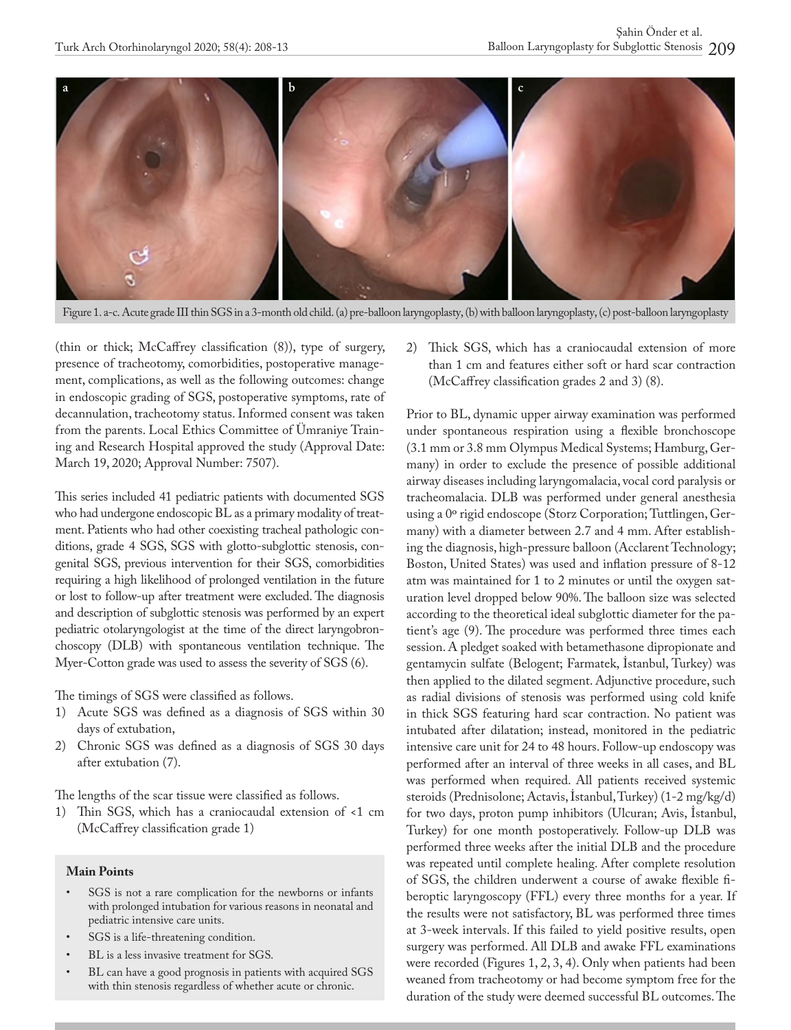

Figure 1. a-c. Acute grade III thin SGS in a 3-month old child. (a) pre-balloon laryngoplasty, (b) with balloon laryngoplasty, (c) post-balloon laryngoplasty

(thin or thick; McCaffrey classification (8)), type of surgery, presence of tracheotomy, comorbidities, postoperative management, complications, as well as the following outcomes: change in endoscopic grading of SGS, postoperative symptoms, rate of decannulation, tracheotomy status. Informed consent was taken from the parents. Local Ethics Committee of Ümraniye Training and Research Hospital approved the study (Approval Date: March 19, 2020; Approval Number: 7507).

This series included 41 pediatric patients with documented SGS who had undergone endoscopic BL as a primary modality of treatment. Patients who had other coexisting tracheal pathologic conditions, grade 4 SGS, SGS with glotto-subglottic stenosis, congenital SGS, previous intervention for their SGS, comorbidities requiring a high likelihood of prolonged ventilation in the future or lost to follow-up after treatment were excluded. The diagnosis and description of subglottic stenosis was performed by an expert pediatric otolaryngologist at the time of the direct laryngobronchoscopy (DLB) with spontaneous ventilation technique. The Myer-Cotton grade was used to assess the severity of SGS (6).

The timings of SGS were classified as follows.

- 1) Acute SGS was defined as a diagnosis of SGS within 30 days of extubation,
- 2) Chronic SGS was defined as a diagnosis of SGS 30 days after extubation (7).

The lengths of the scar tissue were classified as follows.

1) Thin SGS, which has a craniocaudal extension of <1 cm (McCaffrey classification grade 1)

#### **Main Points**

- SGS is not a rare complication for the newborns or infants with prolonged intubation for various reasons in neonatal and pediatric intensive care units.
- SGS is a life-threatening condition.
- BL is a less invasive treatment for SGS.
- BL can have a good prognosis in patients with acquired SGS with thin stenosis regardless of whether acute or chronic.

2) Thick SGS, which has a craniocaudal extension of more than 1 cm and features either soft or hard scar contraction (McCaffrey classification grades 2 and 3) (8).

Prior to BL, dynamic upper airway examination was performed under spontaneous respiration using a flexible bronchoscope (3.1 mm or 3.8 mm Olympus Medical Systems; Hamburg, Germany) in order to exclude the presence of possible additional airway diseases including laryngomalacia, vocal cord paralysis or tracheomalacia. DLB was performed under general anesthesia using a 0º rigid endoscope (Storz Corporation; Tuttlingen, Germany) with a diameter between 2.7 and 4 mm. After establishing the diagnosis, high-pressure balloon (Acclarent Technology; Boston, United States) was used and inflation pressure of 8-12 atm was maintained for 1 to 2 minutes or until the oxygen saturation level dropped below 90%. The balloon size was selected according to the theoretical ideal subglottic diameter for the patient's age (9). The procedure was performed three times each session. A pledget soaked with betamethasone dipropionate and gentamycin sulfate (Belogent; Farmatek, İstanbul, Turkey) was then applied to the dilated segment. Adjunctive procedure, such as radial divisions of stenosis was performed using cold knife in thick SGS featuring hard scar contraction. No patient was intubated after dilatation; instead, monitored in the pediatric intensive care unit for 24 to 48 hours. Follow-up endoscopy was performed after an interval of three weeks in all cases, and BL was performed when required. All patients received systemic steroids (Prednisolone; Actavis, İstanbul, Turkey) (1-2 mg/kg/d) for two days, proton pump inhibitors (Ulcuran; Avis, İstanbul, Turkey) for one month postoperatively. Follow-up DLB was performed three weeks after the initial DLB and the procedure was repeated until complete healing. After complete resolution of SGS, the children underwent a course of awake flexible fiberoptic laryngoscopy (FFL) every three months for a year. If the results were not satisfactory, BL was performed three times at 3-week intervals. If this failed to yield positive results, open surgery was performed. All DLB and awake FFL examinations were recorded (Figures 1, 2, 3, 4). Only when patients had been weaned from tracheotomy or had become symptom free for the duration of the study were deemed successful BL outcomes. The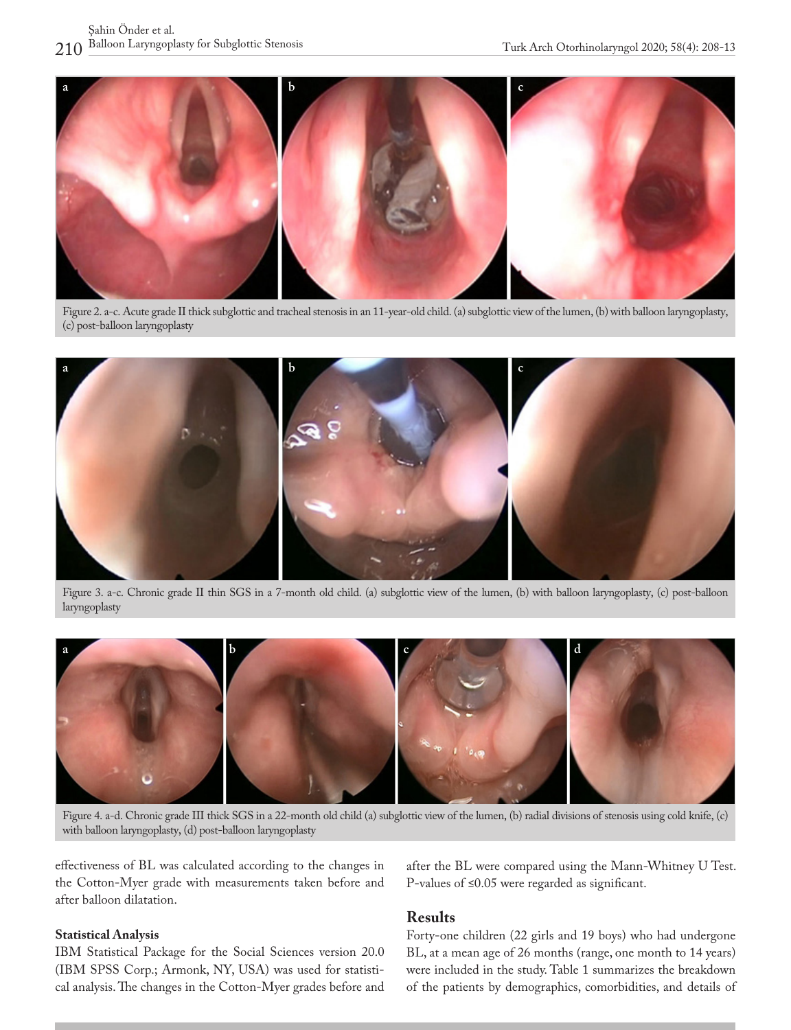

Figure 2. a-c. Acute grade II thick subglottic and tracheal stenosis in an 11-year-old child. (a) subglottic view of the lumen, (b) with balloon laryngoplasty, (c) post-balloon laryngoplasty



Figure 3. a-c. Chronic grade II thin SGS in a 7-month old child. (a) subglottic view of the lumen, (b) with balloon laryngoplasty, (c) post-balloon laryngoplasty



Figure 4. a-d. Chronic grade III thick SGS in a 22-month old child (a) subglottic view of the lumen, (b) radial divisions of stenosis using cold knife, (c) with balloon laryngoplasty, (d) post-balloon laryngoplasty

effectiveness of BL was calculated according to the changes in the Cotton-Myer grade with measurements taken before and after balloon dilatation.

#### **Statistical Analysis**

IBM Statistical Package for the Social Sciences version 20.0 (IBM SPSS Corp.; Armonk, NY, USA) was used for statistical analysis. The changes in the Cotton-Myer grades before and after the BL were compared using the Mann-Whitney U Test. P-values of ≤0.05 were regarded as significant.

#### **Results**

Forty-one children (22 girls and 19 boys) who had undergone BL, at a mean age of 26 months (range, one month to 14 years) were included in the study. Table 1 summarizes the breakdown of the patients by demographics, comorbidities, and details of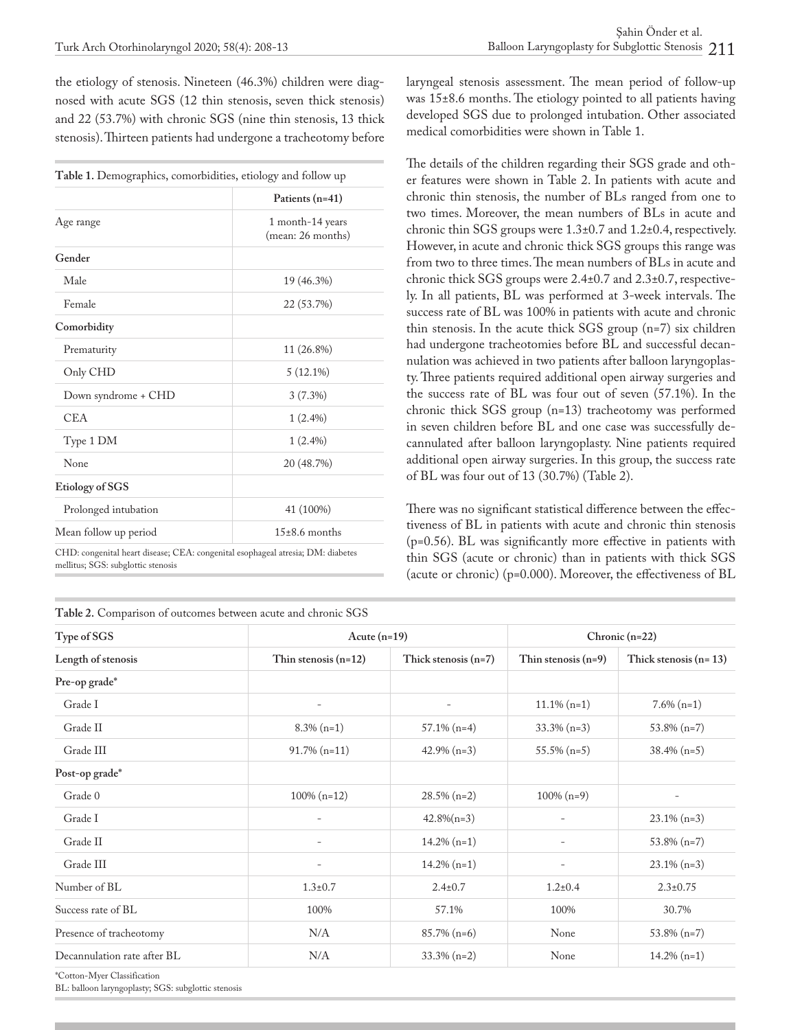the etiology of stenosis. Nineteen (46.3%) children were diagnosed with acute SGS (12 thin stenosis, seven thick stenosis) and 22 (53.7%) with chronic SGS (nine thin stenosis, 13 thick stenosis). Thirteen patients had undergone a tracheotomy before

| Table 1. Demographics, comorbidities, etiology and follow up |                                                          |  |  |  |
|--------------------------------------------------------------|----------------------------------------------------------|--|--|--|
|                                                              | Patients (n=41)<br>1 month-14 years<br>(mean: 26 months) |  |  |  |
| Age range                                                    |                                                          |  |  |  |
| Gender                                                       |                                                          |  |  |  |
| Male                                                         | 19 (46.3%)                                               |  |  |  |
| Female                                                       | 22 (53.7%)                                               |  |  |  |
| Comorbidity                                                  |                                                          |  |  |  |
| Prematurity                                                  | 11 (26.8%)                                               |  |  |  |
| Only CHD                                                     | $5(12.1\%)$                                              |  |  |  |
| Down syndrome + CHD                                          | 3(7.3%)                                                  |  |  |  |
| <b>CEA</b>                                                   | $1(2.4\%)$                                               |  |  |  |
| Type 1 DM                                                    | $1(2.4\%)$                                               |  |  |  |
| None                                                         | 20 (48.7%)                                               |  |  |  |
| Etiology of SGS                                              |                                                          |  |  |  |
| Prolonged intubation                                         | 41 (100%)                                                |  |  |  |
| Mean follow up period                                        | $15\pm8.6$ months                                        |  |  |  |
|                                                              |                                                          |  |  |  |

CHD: congenital heart disease; CEA: congenital esophageal atresia; DM: diabetes mellitus; SGS: subglottic stenosis

**Table 2.** Comparison of outcomes between acute and chronic SGS

laryngeal stenosis assessment. The mean period of follow-up was 15±8.6 months. The etiology pointed to all patients having developed SGS due to prolonged intubation. Other associated medical comorbidities were shown in Table 1.

The details of the children regarding their SGS grade and other features were shown in Table 2. In patients with acute and chronic thin stenosis, the number of BLs ranged from one to two times. Moreover, the mean numbers of BLs in acute and chronic thin SGS groups were 1.3±0.7 and 1.2±0.4, respectively. However, in acute and chronic thick SGS groups this range was from two to three times. The mean numbers of BLs in acute and chronic thick SGS groups were 2.4±0.7 and 2.3±0.7, respectively. In all patients, BL was performed at 3-week intervals. The success rate of BL was 100% in patients with acute and chronic thin stenosis. In the acute thick SGS group (n=7) six children had undergone tracheotomies before BL and successful decannulation was achieved in two patients after balloon laryngoplasty. Three patients required additional open airway surgeries and the success rate of BL was four out of seven (57.1%). In the chronic thick SGS group (n=13) tracheotomy was performed in seven children before BL and one case was successfully decannulated after balloon laryngoplasty. Nine patients required additional open airway surgeries. In this group, the success rate of BL was four out of 13 (30.7%) (Table 2).

There was no significant statistical difference between the effectiveness of BL in patients with acute and chronic thin stenosis (p=0.56). BL was significantly more effective in patients with thin SGS (acute or chronic) than in patients with thick SGS (acute or chronic) (p=0.000). Moreover, the effectiveness of BL

| Type of SGS<br>Length of stenosis | Acute $(n=19)$           |                          | Chronic $(n=22)$      |                         |
|-----------------------------------|--------------------------|--------------------------|-----------------------|-------------------------|
|                                   | Thin stenosis $(n=12)$   | Thick stenosis $(n=7)$   | Thin stenosis $(n=9)$ | Thick stenosis $(n=13)$ |
| Pre-op grade*                     |                          |                          |                       |                         |
| Grade I                           | $\overline{\phantom{a}}$ | $\overline{\phantom{a}}$ | $11.1\% (n=1)$        | $7.6\%$ (n=1)           |
| Grade II                          | $8.3\%$ (n=1)            | $57.1\%$ (n=4)           | $33.3\%$ (n=3)        | $53.8\%$ (n=7)          |
| Grade III                         | $91.7\%$ (n=11)          | $42.9\%$ (n=3)           | $55.5\%$ (n=5)        | $38.4\%$ (n=5)          |
| Post-op grade*                    |                          |                          |                       |                         |
| Grade 0                           | $100\% (n=12)$           | $28.5\%$ (n=2)           | $100\% (n=9)$         |                         |
| Grade I                           | $\overline{\phantom{a}}$ | $42.8\%(n=3)$            |                       | $23.1\% (n=3)$          |
| Grade II                          |                          | $14.2\%$ (n=1)           |                       | $53.8\%$ (n=7)          |
| Grade III                         | $\overline{\phantom{a}}$ | $14.2\%$ (n=1)           |                       | $23.1\%$ (n=3)          |
| Number of BL                      | $1.3 \pm 0.7$            | $2.4 \pm 0.7$            | $1.2 \pm 0.4$         | $2.3 \pm 0.75$          |
| Success rate of BL                | 100%                     | 57.1%                    | 100%                  | 30.7%                   |
| Presence of tracheotomy           | N/A                      | $85.7\%$ (n=6)           | None                  | $53.8\%$ (n=7)          |
| Decannulation rate after BL       | N/A                      | $33.3\% (n=2)$           | None                  | $14.2\%$ (n=1)          |

\*Cotton-Myer Classification

BL: balloon laryngoplasty; SGS: subglottic stenosis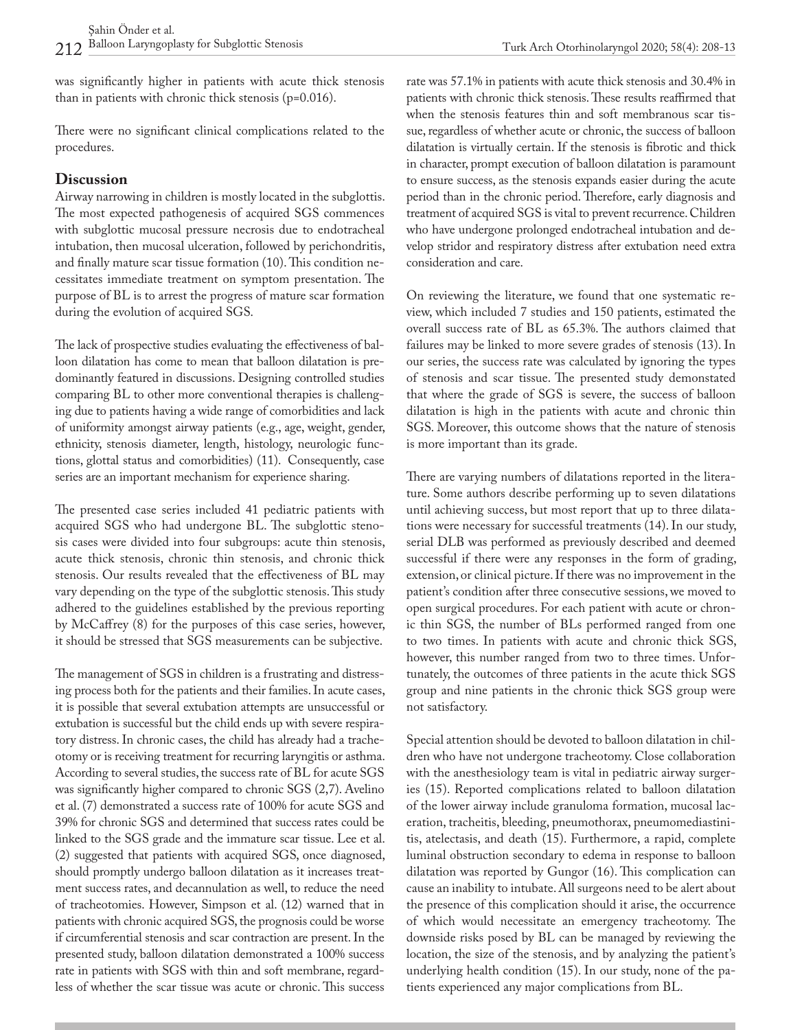was significantly higher in patients with acute thick stenosis than in patients with chronic thick stenosis (p=0.016).

There were no significant clinical complications related to the procedures.

#### **Discussion**

Airway narrowing in children is mostly located in the subglottis. The most expected pathogenesis of acquired SGS commences with subglottic mucosal pressure necrosis due to endotracheal intubation, then mucosal ulceration, followed by perichondritis, and finally mature scar tissue formation (10).This condition necessitates immediate treatment on symptom presentation. The purpose of BL is to arrest the progress of mature scar formation during the evolution of acquired SGS.

The lack of prospective studies evaluating the effectiveness of balloon dilatation has come to mean that balloon dilatation is predominantly featured in discussions. Designing controlled studies comparing BL to other more conventional therapies is challenging due to patients having a wide range of comorbidities and lack of uniformity amongst airway patients (e.g., age, weight, gender, ethnicity, stenosis diameter, length, histology, neurologic functions, glottal status and comorbidities) (11). Consequently, case series are an important mechanism for experience sharing.

The presented case series included 41 pediatric patients with acquired SGS who had undergone BL. The subglottic stenosis cases were divided into four subgroups: acute thin stenosis, acute thick stenosis, chronic thin stenosis, and chronic thick stenosis. Our results revealed that the effectiveness of BL may vary depending on the type of the subglottic stenosis. This study adhered to the guidelines established by the previous reporting by McCaffrey (8) for the purposes of this case series, however, it should be stressed that SGS measurements can be subjective.

The management of SGS in children is a frustrating and distressing process both for the patients and their families. In acute cases, it is possible that several extubation attempts are unsuccessful or extubation is successful but the child ends up with severe respiratory distress. In chronic cases, the child has already had a tracheotomy or is receiving treatment for recurring laryngitis or asthma. According to several studies, the success rate of BL for acute SGS was significantly higher compared to chronic SGS (2,7). Avelino et al. (7) demonstrated a success rate of 100% for acute SGS and 39% for chronic SGS and determined that success rates could be linked to the SGS grade and the immature scar tissue. Lee et al. (2) suggested that patients with acquired SGS, once diagnosed, should promptly undergo balloon dilatation as it increases treatment success rates, and decannulation as well, to reduce the need of tracheotomies. However, Simpson et al. (12) warned that in patients with chronic acquired SGS, the prognosis could be worse if circumferential stenosis and scar contraction are present. In the presented study, balloon dilatation demonstrated a 100% success rate in patients with SGS with thin and soft membrane, regardless of whether the scar tissue was acute or chronic. This success

Turk Arch Otorhinolaryngol 2020; 58(4): 208-13

patients with chronic thick stenosis. These results reaffirmed that when the stenosis features thin and soft membranous scar tissue, regardless of whether acute or chronic, the success of balloon dilatation is virtually certain. If the stenosis is fibrotic and thick in character, prompt execution of balloon dilatation is paramount to ensure success, as the stenosis expands easier during the acute period than in the chronic period. Therefore, early diagnosis and treatment of acquired SGS is vital to prevent recurrence. Children who have undergone prolonged endotracheal intubation and develop stridor and respiratory distress after extubation need extra consideration and care.

On reviewing the literature, we found that one systematic review, which included 7 studies and 150 patients, estimated the overall success rate of BL as 65.3%. The authors claimed that failures may be linked to more severe grades of stenosis (13). In our series, the success rate was calculated by ignoring the types of stenosis and scar tissue. The presented study demonstated that where the grade of SGS is severe, the success of balloon dilatation is high in the patients with acute and chronic thin SGS. Moreover, this outcome shows that the nature of stenosis is more important than its grade.

There are varying numbers of dilatations reported in the literature. Some authors describe performing up to seven dilatations until achieving success, but most report that up to three dilatations were necessary for successful treatments (14). In our study, serial DLB was performed as previously described and deemed successful if there were any responses in the form of grading, extension, or clinical picture. If there was no improvement in the patient's condition after three consecutive sessions, we moved to open surgical procedures. For each patient with acute or chronic thin SGS, the number of BLs performed ranged from one to two times. In patients with acute and chronic thick SGS, however, this number ranged from two to three times. Unfortunately, the outcomes of three patients in the acute thick SGS group and nine patients in the chronic thick SGS group were not satisfactory.

Special attention should be devoted to balloon dilatation in children who have not undergone tracheotomy. Close collaboration with the anesthesiology team is vital in pediatric airway surgeries (15). Reported complications related to balloon dilatation of the lower airway include granuloma formation, mucosal laceration, tracheitis, bleeding, pneumothorax, pneumomediastinitis, atelectasis, and death (15). Furthermore, a rapid, complete luminal obstruction secondary to edema in response to balloon dilatation was reported by Gungor (16). This complication can cause an inability to intubate. All surgeons need to be alert about the presence of this complication should it arise, the occurrence of which would necessitate an emergency tracheotomy. The downside risks posed by BL can be managed by reviewing the location, the size of the stenosis, and by analyzing the patient's underlying health condition (15). In our study, none of the patients experienced any major complications from BL.